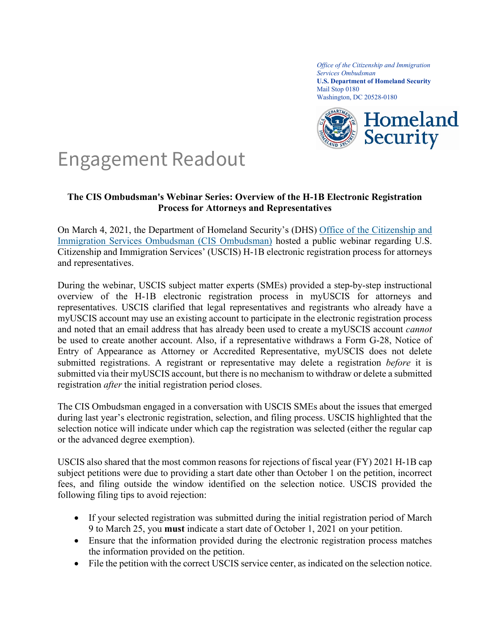*Office of the Citizenship and Immigration Services Ombudsman* **U.S. Department of Homeland Security** Mail Stop 0180 Washington, DC 20528-0180



## Engagement Readout

## **The CIS Ombudsman's Webinar Series: Overview of the H-1B Electronic Registration Process for Attorneys and Representatives**

On March 4, 2021, the Department of Homeland Security's (DHS) [Office of the Citizenship and](https://www.dhs.gov/topic/cis-ombudsman)  [Immigration Services Ombudsman \(CIS Ombudsman\)](https://www.dhs.gov/topic/cis-ombudsman) hosted a public webinar regarding U.S. Citizenship and Immigration Services' (USCIS) H-1B electronic registration process for attorneys and representatives.

During the webinar, USCIS subject matter experts (SMEs) provided a step-by-step instructional overview of the H-1B electronic registration process in myUSCIS for attorneys and representatives. USCIS clarified that legal representatives and registrants who already have a myUSCIS account may use an existing account to participate in the electronic registration process and noted that an email address that has already been used to create a myUSCIS account *cannot* be used to create another account. Also, if a representative withdraws a Form G-28, Notice of Entry of Appearance as Attorney or Accredited Representative, myUSCIS does not delete submitted registrations. A registrant or representative may delete a registration *before* it is submitted via their myUSCIS account, but there is no mechanism to withdraw or delete a submitted registration *after* the initial registration period closes.

The CIS Ombudsman engaged in a conversation with USCIS SMEs about the issues that emerged during last year's electronic registration, selection, and filing process. USCIS highlighted that the selection notice will indicate under which cap the registration was selected (either the regular cap or the advanced degree exemption).

USCIS also shared that the most common reasons for rejections of fiscal year (FY) 2021 H-1B cap subject petitions were due to providing a start date other than October 1 on the petition, incorrect fees, and filing outside the window identified on the selection notice. USCIS provided the following filing tips to avoid rejection:

- If your selected registration was submitted during the initial registration period of March 9 to March 25, you **must** indicate a start date of October 1, 2021 on your petition.
- Ensure that the information provided during the electronic registration process matches the information provided on the petition.
- File the petition with the correct USCIS service center, as indicated on the selection notice.